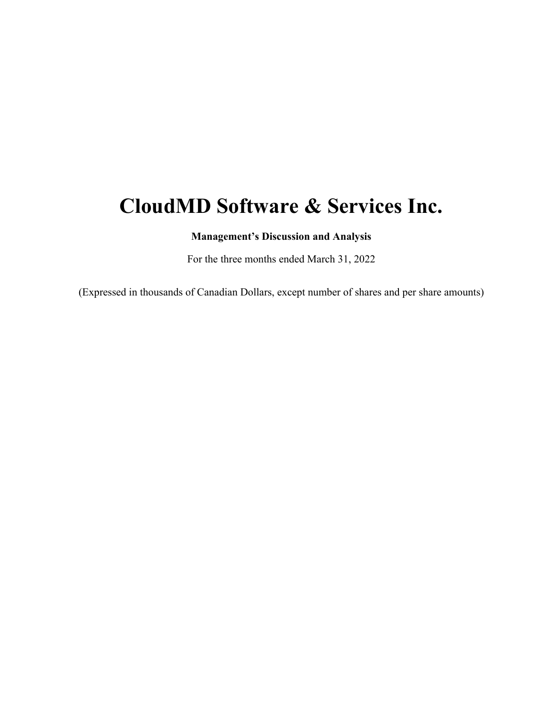# **CloudMD Software & Services Inc.**

**Management's Discussion and Analysis** 

For the three months ended March 31, 2022

(Expressed in thousands of Canadian Dollars, except number of shares and per share amounts)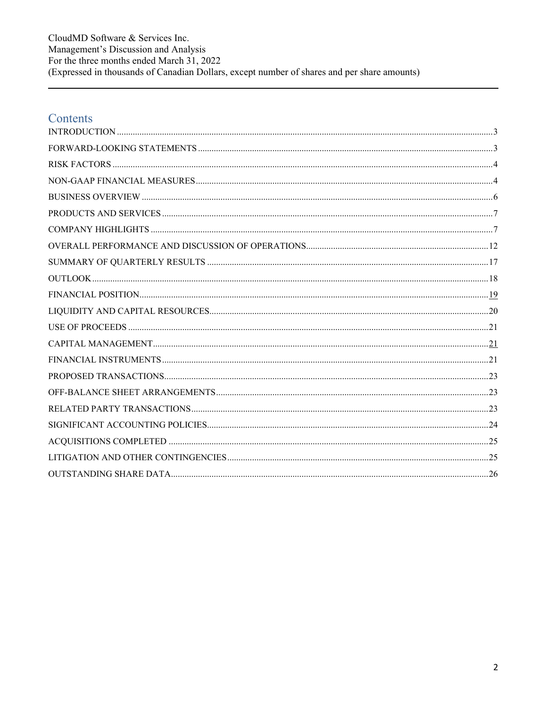CloudMD Software & Services Inc. Management's Discussion and Analysis For the three months ended March 31, 2022 (Expressed in thousands of Canadian Dollars, except number of shares and per share amounts)

### Contents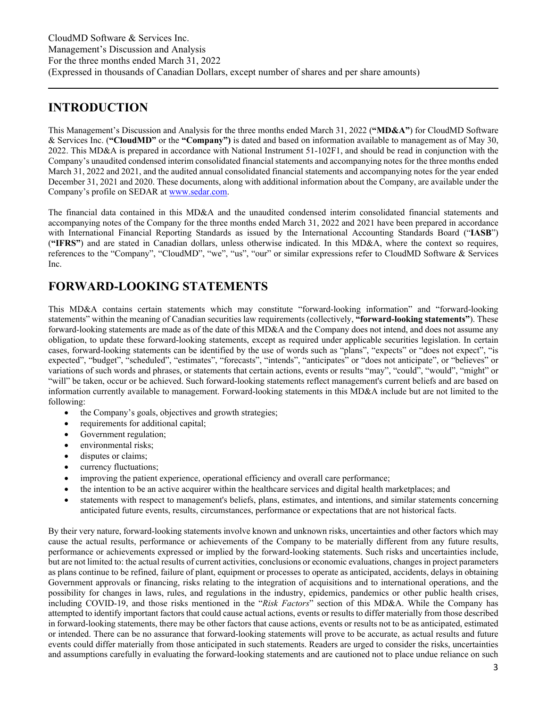### **INTRODUCTION**

This Management's Discussion and Analysis for the three months ended March 31, 2022 (**"MD&A"**) for CloudMD Software & Services Inc. (**"CloudMD"** or the **"Company")** is dated and based on information available to management as of May 30, 2022. This MD&A is prepared in accordance with National Instrument 51-102F1, and should be read in conjunction with the Company's unaudited condensed interim consolidated financial statements and accompanying notes for the three months ended March 31, 2022 and 2021, and the audited annual consolidated financial statements and accompanying notes for the year ended December 31, 2021 and 2020. These documents, along with additional information about the Company, are available under the Company's profile on SEDAR at www.sedar.com.

The financial data contained in this MD&A and the unaudited condensed interim consolidated financial statements and accompanying notes of the Company for the three months ended March 31, 2022 and 2021 have been prepared in accordance with International Financial Reporting Standards as issued by the International Accounting Standards Board ("**IASB**") (**"IFRS"**) and are stated in Canadian dollars, unless otherwise indicated. In this MD&A, where the context so requires, references to the "Company", "CloudMD", "we", "us", "our" or similar expressions refer to CloudMD Software & Services Inc.

# **FORWARD-LOOKING STATEMENTS**

This MD&A contains certain statements which may constitute "forward-looking information" and "forward-looking statements" within the meaning of Canadian securities law requirements (collectively, **"forward-looking statements"**). These forward-looking statements are made as of the date of this MD&A and the Company does not intend, and does not assume any obligation, to update these forward-looking statements, except as required under applicable securities legislation. In certain cases, forward-looking statements can be identified by the use of words such as "plans", "expects" or "does not expect", "is expected", "budget", "scheduled", "estimates", "forecasts", "intends", "anticipates" or "does not anticipate", or "believes" or variations of such words and phrases, or statements that certain actions, events or results "may", "could", "would", "might" or "will" be taken, occur or be achieved. Such forward-looking statements reflect management's current beliefs and are based on information currently available to management. Forward-looking statements in this MD&A include but are not limited to the following:

- the Company's goals, objectives and growth strategies;
- requirements for additional capital;
- Government regulation;
- environmental risks;
- disputes or claims;
- currency fluctuations;
- improving the patient experience, operational efficiency and overall care performance;
- the intention to be an active acquirer within the healthcare services and digital health marketplaces; and
- statements with respect to management's beliefs, plans, estimates, and intentions, and similar statements concerning anticipated future events, results, circumstances, performance or expectations that are not historical facts.

By their very nature, forward-looking statements involve known and unknown risks, uncertainties and other factors which may cause the actual results, performance or achievements of the Company to be materially different from any future results, performance or achievements expressed or implied by the forward-looking statements. Such risks and uncertainties include, but are not limited to: the actual results of current activities, conclusions or economic evaluations, changes in project parameters as plans continue to be refined, failure of plant, equipment or processes to operate as anticipated, accidents, delays in obtaining Government approvals or financing, risks relating to the integration of acquisitions and to international operations, and the possibility for changes in laws, rules, and regulations in the industry, epidemics, pandemics or other public health crises, including COVID-19, and those risks mentioned in the "*Risk Factors*" section of this MD&A. While the Company has attempted to identify important factors that could cause actual actions, events or results to differ materially from those described in forward-looking statements, there may be other factors that cause actions, events or results not to be as anticipated, estimated or intended. There can be no assurance that forward-looking statements will prove to be accurate, as actual results and future events could differ materially from those anticipated in such statements. Readers are urged to consider the risks, uncertainties and assumptions carefully in evaluating the forward-looking statements and are cautioned not to place undue reliance on such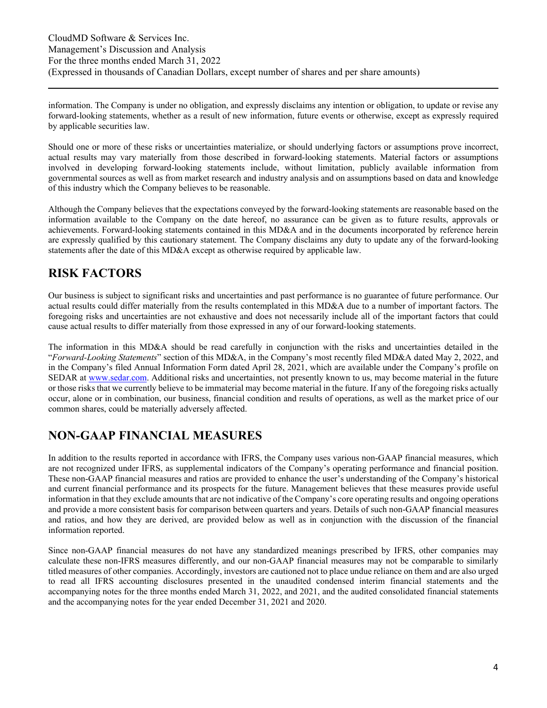information. The Company is under no obligation, and expressly disclaims any intention or obligation, to update or revise any forward-looking statements, whether as a result of new information, future events or otherwise, except as expressly required by applicable securities law.

Should one or more of these risks or uncertainties materialize, or should underlying factors or assumptions prove incorrect, actual results may vary materially from those described in forward-looking statements. Material factors or assumptions involved in developing forward-looking statements include, without limitation, publicly available information from governmental sources as well as from market research and industry analysis and on assumptions based on data and knowledge of this industry which the Company believes to be reasonable.

Although the Company believes that the expectations conveyed by the forward-looking statements are reasonable based on the information available to the Company on the date hereof, no assurance can be given as to future results, approvals or achievements. Forward-looking statements contained in this MD&A and in the documents incorporated by reference herein are expressly qualified by this cautionary statement. The Company disclaims any duty to update any of the forward-looking statements after the date of this MD&A except as otherwise required by applicable law.

### **RISK FACTORS**

Our business is subject to significant risks and uncertainties and past performance is no guarantee of future performance. Our actual results could differ materially from the results contemplated in this MD&A due to a number of important factors. The foregoing risks and uncertainties are not exhaustive and does not necessarily include all of the important factors that could cause actual results to differ materially from those expressed in any of our forward-looking statements.

The information in this MD&A should be read carefully in conjunction with the risks and uncertainties detailed in the "*Forward-Looking Statements*" section of this MD&A, in the Company's most recently filed MD&A dated May 2, 2022, and in the Company's filed Annual Information Form dated April 28, 2021, which are available under the Company's profile on SEDAR at www.sedar.com. Additional risks and uncertainties, not presently known to us, may become material in the future or those risks that we currently believe to be immaterial may become material in the future. If any of the foregoing risks actually occur, alone or in combination, our business, financial condition and results of operations, as well as the market price of our common shares, could be materially adversely affected.

### **NON-GAAP FINANCIAL MEASURES**

In addition to the results reported in accordance with IFRS, the Company uses various non-GAAP financial measures, which are not recognized under IFRS, as supplemental indicators of the Company's operating performance and financial position. These non-GAAP financial measures and ratios are provided to enhance the user's understanding of the Company's historical and current financial performance and its prospects for the future. Management believes that these measures provide useful information in that they exclude amounts that are not indicative of the Company's core operating results and ongoing operations and provide a more consistent basis for comparison between quarters and years. Details of such non-GAAP financial measures and ratios, and how they are derived, are provided below as well as in conjunction with the discussion of the financial information reported.

Since non-GAAP financial measures do not have any standardized meanings prescribed by IFRS, other companies may calculate these non-IFRS measures differently, and our non-GAAP financial measures may not be comparable to similarly titled measures of other companies. Accordingly, investors are cautioned not to place undue reliance on them and are also urged to read all IFRS accounting disclosures presented in the unaudited condensed interim financial statements and the accompanying notes for the three months ended March 31, 2022, and 2021, and the audited consolidated financial statements and the accompanying notes for the year ended December 31, 2021 and 2020.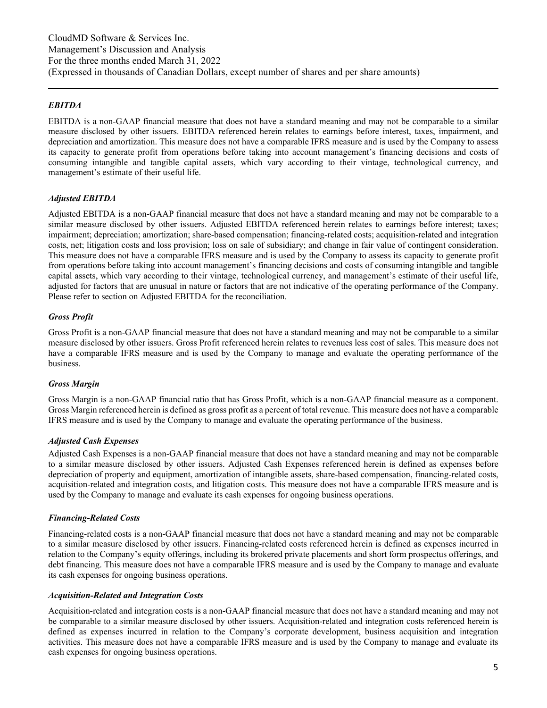#### *EBITDA*

EBITDA is a non-GAAP financial measure that does not have a standard meaning and may not be comparable to a similar measure disclosed by other issuers. EBITDA referenced herein relates to earnings before interest, taxes, impairment, and depreciation and amortization. This measure does not have a comparable IFRS measure and is used by the Company to assess its capacity to generate profit from operations before taking into account management's financing decisions and costs of consuming intangible and tangible capital assets, which vary according to their vintage, technological currency, and management's estimate of their useful life.

#### *Adjusted EBITDA*

Adjusted EBITDA is a non-GAAP financial measure that does not have a standard meaning and may not be comparable to a similar measure disclosed by other issuers. Adjusted EBITDA referenced herein relates to earnings before interest; taxes; impairment; depreciation; amortization; share-based compensation; financing-related costs; acquisition-related and integration costs, net; litigation costs and loss provision; loss on sale of subsidiary; and change in fair value of contingent consideration. This measure does not have a comparable IFRS measure and is used by the Company to assess its capacity to generate profit from operations before taking into account management's financing decisions and costs of consuming intangible and tangible capital assets, which vary according to their vintage, technological currency, and management's estimate of their useful life, adjusted for factors that are unusual in nature or factors that are not indicative of the operating performance of the Company. Please refer to section on Adjusted EBITDA for the reconciliation.

#### *Gross Profit*

Gross Profit is a non-GAAP financial measure that does not have a standard meaning and may not be comparable to a similar measure disclosed by other issuers. Gross Profit referenced herein relates to revenues less cost of sales. This measure does not have a comparable IFRS measure and is used by the Company to manage and evaluate the operating performance of the business.

#### *Gross Margin*

Gross Margin is a non-GAAP financial ratio that has Gross Profit, which is a non-GAAP financial measure as a component. Gross Margin referenced herein is defined as gross profit as a percent of total revenue. This measure does not have a comparable IFRS measure and is used by the Company to manage and evaluate the operating performance of the business.

#### *Adjusted Cash Expenses*

Adjusted Cash Expenses is a non-GAAP financial measure that does not have a standard meaning and may not be comparable to a similar measure disclosed by other issuers. Adjusted Cash Expenses referenced herein is defined as expenses before depreciation of property and equipment, amortization of intangible assets, share-based compensation, financing-related costs, acquisition-related and integration costs, and litigation costs. This measure does not have a comparable IFRS measure and is used by the Company to manage and evaluate its cash expenses for ongoing business operations.

#### *Financing-Related Costs*

Financing-related costs is a non-GAAP financial measure that does not have a standard meaning and may not be comparable to a similar measure disclosed by other issuers. Financing-related costs referenced herein is defined as expenses incurred in relation to the Company's equity offerings, including its brokered private placements and short form prospectus offerings, and debt financing. This measure does not have a comparable IFRS measure and is used by the Company to manage and evaluate its cash expenses for ongoing business operations.

#### *Acquisition-Related and Integration Costs*

Acquisition-related and integration costs is a non-GAAP financial measure that does not have a standard meaning and may not be comparable to a similar measure disclosed by other issuers. Acquisition-related and integration costs referenced herein is defined as expenses incurred in relation to the Company's corporate development, business acquisition and integration activities. This measure does not have a comparable IFRS measure and is used by the Company to manage and evaluate its cash expenses for ongoing business operations.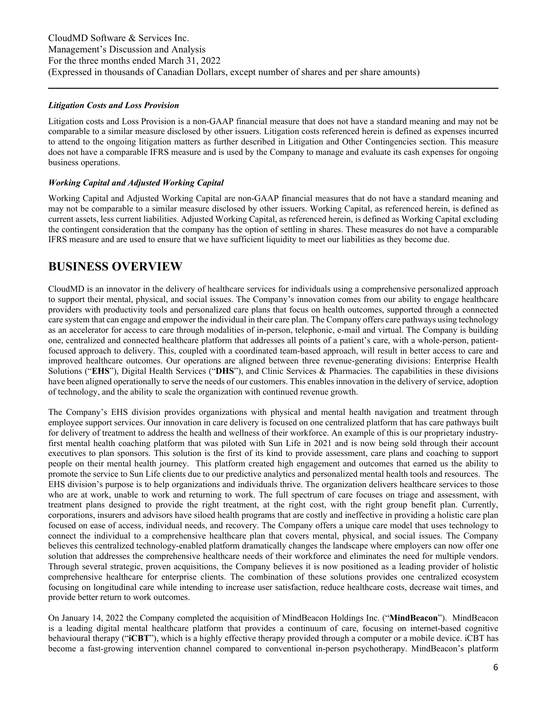#### *Litigation Costs and Loss Provision*

Litigation costs and Loss Provision is a non-GAAP financial measure that does not have a standard meaning and may not be comparable to a similar measure disclosed by other issuers. Litigation costs referenced herein is defined as expenses incurred to attend to the ongoing litigation matters as further described in Litigation and Other Contingencies section. This measure does not have a comparable IFRS measure and is used by the Company to manage and evaluate its cash expenses for ongoing business operations.

#### *Working Capital and Adjusted Working Capital*

Working Capital and Adjusted Working Capital are non-GAAP financial measures that do not have a standard meaning and may not be comparable to a similar measure disclosed by other issuers. Working Capital, as referenced herein, is defined as current assets, less current liabilities. Adjusted Working Capital, as referenced herein, is defined as Working Capital excluding the contingent consideration that the company has the option of settling in shares. These measures do not have a comparable IFRS measure and are used to ensure that we have sufficient liquidity to meet our liabilities as they become due.

### **BUSINESS OVERVIEW**

CloudMD is an innovator in the delivery of healthcare services for individuals using a comprehensive personalized approach to support their mental, physical, and social issues. The Company's innovation comes from our ability to engage healthcare providers with productivity tools and personalized care plans that focus on health outcomes, supported through a connected care system that can engage and empower the individual in their care plan. The Company offers care pathways using technology as an accelerator for access to care through modalities of in-person, telephonic, e-mail and virtual. The Company is building one, centralized and connected healthcare platform that addresses all points of a patient's care, with a whole-person, patientfocused approach to delivery. This, coupled with a coordinated team-based approach, will result in better access to care and improved healthcare outcomes. Our operations are aligned between three revenue-generating divisions: Enterprise Health Solutions ("**EHS**"), Digital Health Services ("**DHS**"), and Clinic Services & Pharmacies. The capabilities in these divisions have been aligned operationally to serve the needs of our customers. This enables innovation in the delivery of service, adoption of technology, and the ability to scale the organization with continued revenue growth.

The Company's EHS division provides organizations with physical and mental health navigation and treatment through employee support services. Our innovation in care delivery is focused on one centralized platform that has care pathways built for delivery of treatment to address the health and wellness of their workforce. An example of this is our proprietary industryfirst mental health coaching platform that was piloted with Sun Life in 2021 and is now being sold through their account executives to plan sponsors. This solution is the first of its kind to provide assessment, care plans and coaching to support people on their mental health journey. This platform created high engagement and outcomes that earned us the ability to promote the service to Sun Life clients due to our predictive analytics and personalized mental health tools and resources. The EHS division's purpose is to help organizations and individuals thrive. The organization delivers healthcare services to those who are at work, unable to work and returning to work. The full spectrum of care focuses on triage and assessment, with treatment plans designed to provide the right treatment, at the right cost, with the right group benefit plan. Currently, corporations, insurers and advisors have siloed health programs that are costly and ineffective in providing a holistic care plan focused on ease of access, individual needs, and recovery. The Company offers a unique care model that uses technology to connect the individual to a comprehensive healthcare plan that covers mental, physical, and social issues. The Company believes this centralized technology-enabled platform dramatically changes the landscape where employers can now offer one solution that addresses the comprehensive healthcare needs of their workforce and eliminates the need for multiple vendors. Through several strategic, proven acquisitions, the Company believes it is now positioned as a leading provider of holistic comprehensive healthcare for enterprise clients. The combination of these solutions provides one centralized ecosystem focusing on longitudinal care while intending to increase user satisfaction, reduce healthcare costs, decrease wait times, and provide better return to work outcomes.

On January 14, 2022 the Company completed the acquisition of MindBeacon Holdings Inc. ("**MindBeacon**"). MindBeacon is a leading digital mental healthcare platform that provides a continuum of care, focusing on internet-based cognitive behavioural therapy ("**iCBT**"), which is a highly effective therapy provided through a computer or a mobile device. iCBT has become a fast-growing intervention channel compared to conventional in-person psychotherapy. MindBeacon's platform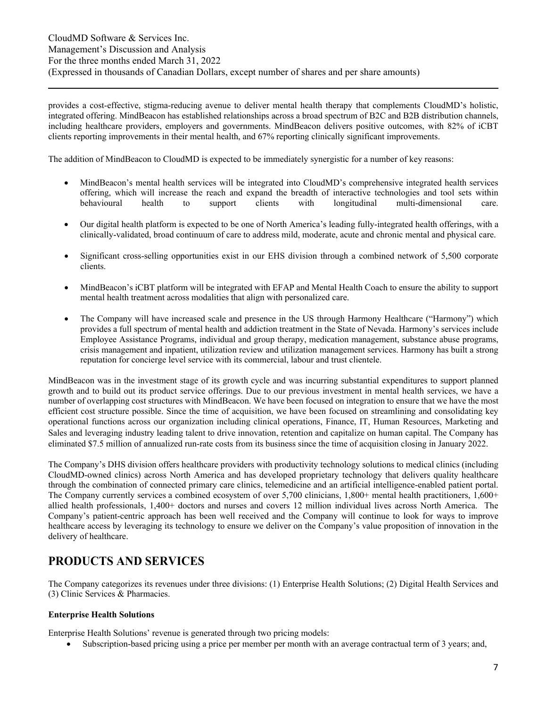provides a cost-effective, stigma-reducing avenue to deliver mental health therapy that complements CloudMD's holistic, integrated offering. MindBeacon has established relationships across a broad spectrum of B2C and B2B distribution channels, including healthcare providers, employers and governments. MindBeacon delivers positive outcomes, with 82% of iCBT clients reporting improvements in their mental health, and 67% reporting clinically significant improvements.

The addition of MindBeacon to CloudMD is expected to be immediately synergistic for a number of key reasons:

- MindBeacon's mental health services will be integrated into CloudMD's comprehensive integrated health services offering, which will increase the reach and expand the breadth of interactive technologies and tool sets within behavioural health to support clients with longitudinal multi-dimensional care.
- Our digital health platform is expected to be one of North America's leading fully-integrated health offerings, with a clinically-validated, broad continuum of care to address mild, moderate, acute and chronic mental and physical care.
- Significant cross-selling opportunities exist in our EHS division through a combined network of 5,500 corporate clients.
- MindBeacon's iCBT platform will be integrated with EFAP and Mental Health Coach to ensure the ability to support mental health treatment across modalities that align with personalized care.
- The Company will have increased scale and presence in the US through Harmony Healthcare ("Harmony") which provides a full spectrum of mental health and addiction treatment in the State of Nevada. Harmony's services include Employee Assistance Programs, individual and group therapy, medication management, substance abuse programs, crisis management and inpatient, utilization review and utilization management services. Harmony has built a strong reputation for concierge level service with its commercial, labour and trust clientele.

MindBeacon was in the investment stage of its growth cycle and was incurring substantial expenditures to support planned growth and to build out its product service offerings. Due to our previous investment in mental health services, we have a number of overlapping cost structures with MindBeacon. We have been focused on integration to ensure that we have the most efficient cost structure possible. Since the time of acquisition, we have been focused on streamlining and consolidating key operational functions across our organization including clinical operations, Finance, IT, Human Resources, Marketing and Sales and leveraging industry leading talent to drive innovation, retention and capitalize on human capital. The Company has eliminated \$7.5 million of annualized run-rate costs from its business since the time of acquisition closing in January 2022.

The Company's DHS division offers healthcare providers with productivity technology solutions to medical clinics (including CloudMD-owned clinics) across North America and has developed proprietary technology that delivers quality healthcare through the combination of connected primary care clinics, telemedicine and an artificial intelligence-enabled patient portal. The Company currently services a combined ecosystem of over 5,700 clinicians, 1,800+ mental health practitioners, 1,600+ allied health professionals, 1,400+ doctors and nurses and covers 12 million individual lives across North America. The Company's patient-centric approach has been well received and the Company will continue to look for ways to improve healthcare access by leveraging its technology to ensure we deliver on the Company's value proposition of innovation in the delivery of healthcare.

### **PRODUCTS AND SERVICES**

The Company categorizes its revenues under three divisions: (1) Enterprise Health Solutions; (2) Digital Health Services and (3) Clinic Services & Pharmacies.

#### **Enterprise Health Solutions**

Enterprise Health Solutions' revenue is generated through two pricing models:

Subscription-based pricing using a price per member per month with an average contractual term of 3 years; and,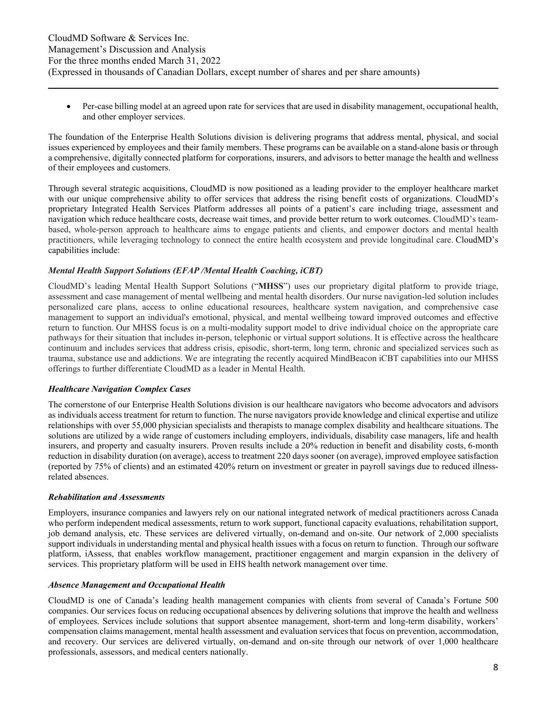Per-case billing model at an agreed upon rate for services that are used in disability management, occupational health, and other employer services.

The foundation of the Enterprise Health Solutions division is delivering programs that address mental, physical, and social issues experienced by employees and their family members. These programs can be available on a stand-alone basis or through a comprehensive, digitally connected platform for corporations, insurers, and advisors to better manage the health and wellness of their employees and customers.

Through several strategic acquisitions, CloudMD is now positioned as a leading provider to the employer healthcare market with our unique comprehensive ability to offer services that address the rising benefit costs of organizations. CloudMD's proprietary Integrated Health Services Platform addresses all points of a patient's care including triage, assessment and navigation which reduce healthcare costs, decrease wait times, and provide better return to work outcomes. CloudMD's teambased, whole-person approach to healthcare aims to engage patients and clients, and empower doctors and mental health practitioners, while leveraging technology to connect the entire health ecosystem and provide longitudinal care. CloudMD's capabilities include:

#### *Mental Health Support Solutions (EFAP /Mental Health Coaching, iCBT)*

CloudMD's leading Mental Health Support Solutions ("**MHSS**") uses our proprietary digital platform to provide triage, assessment and case management of mental wellbeing and mental health disorders. Our nurse navigation-led solution includes personalized care plans, access to online educational resources, healthcare system navigation, and comprehensive case management to support an individual's emotional, physical, and mental wellbeing toward improved outcomes and effective return to function. Our MHSS focus is on a multi-modality support model to drive individual choice on the appropriate care pathways for their situation that includes in-person, telephonic or virtual support solutions. It is effective across the healthcare continuum and includes services that address crisis, episodic, short-term, long term, chronic and specialized services such as trauma, substance use and addictions. We are integrating the recently acquired MindBeacon iCBT capabilities into our MHSS offerings to further differentiate CloudMD as a leader in Mental Health.

#### *Healthcare Navigation Complex Cases*

The cornerstone of our Enterprise Health Solutions division is our healthcare navigators who become advocators and advisors as individuals access treatment for return to function. The nurse navigators provide knowledge and clinical expertise and utilize relationships with over 55,000 physician specialists and therapists to manage complex disability and healthcare situations. The solutions are utilized by a wide range of customers including employers, individuals, disability case managers, life and health insurers, and property and casualty insurers. Proven results include a 20% reduction in benefit and disability costs, 6-month reduction in disability duration (on average), access to treatment 220 days sooner (on average), improved employee satisfaction (reported by 75% of clients) and an estimated 420% return on investment or greater in payroll savings due to reduced illnessrelated absences.

#### *Rehabilitation and Assessments*

Employers, insurance companies and lawyers rely on our national integrated network of medical practitioners across Canada who perform independent medical assessments, return to work support, functional capacity evaluations, rehabilitation support, job demand analysis, etc. These services are delivered virtually, on-demand and on-site. Our network of 2,000 specialists support individuals in understanding mental and physical health issues with a focus on return to function. Through our software platform, iAssess, that enables workflow management, practitioner engagement and margin expansion in the delivery of services. This proprietary platform will be used in EHS health network management over time.

#### *Absence Management and Occupational Health*

CloudMD is one of Canada's leading health management companies with clients from several of Canada's Fortune 500 companies. Our services focus on reducing occupational absences by delivering solutions that improve the health and wellness of employees. Services include solutions that support absentee management, short-term and long-term disability, workers' compensation claims management, mental health assessment and evaluation services that focus on prevention, accommodation, and recovery. Our services are delivered virtually, on-demand and on-site through our network of over 1,000 healthcare professionals, assessors, and medical centers nationally.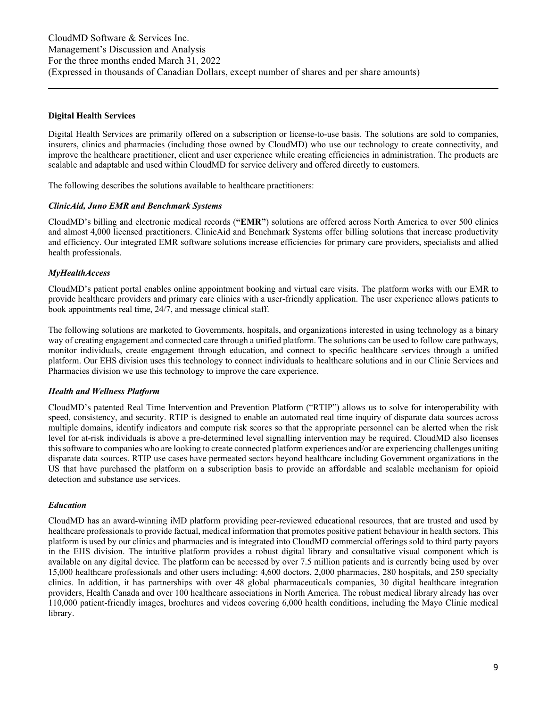#### **Digital Health Services**

Digital Health Services are primarily offered on a subscription or license-to-use basis. The solutions are sold to companies, insurers, clinics and pharmacies (including those owned by CloudMD) who use our technology to create connectivity, and improve the healthcare practitioner, client and user experience while creating efficiencies in administration. The products are scalable and adaptable and used within CloudMD for service delivery and offered directly to customers.

The following describes the solutions available to healthcare practitioners:

#### *ClinicAid, Juno EMR and Benchmark Systems*

CloudMD's billing and electronic medical records (**"EMR"**) solutions are offered across North America to over 500 clinics and almost 4,000 licensed practitioners. ClinicAid and Benchmark Systems offer billing solutions that increase productivity and efficiency. Our integrated EMR software solutions increase efficiencies for primary care providers, specialists and allied health professionals.

#### *MyHealthAccess*

CloudMD's patient portal enables online appointment booking and virtual care visits. The platform works with our EMR to provide healthcare providers and primary care clinics with a user-friendly application. The user experience allows patients to book appointments real time, 24/7, and message clinical staff.

The following solutions are marketed to Governments, hospitals, and organizations interested in using technology as a binary way of creating engagement and connected care through a unified platform. The solutions can be used to follow care pathways, monitor individuals, create engagement through education, and connect to specific healthcare services through a unified platform. Our EHS division uses this technology to connect individuals to healthcare solutions and in our Clinic Services and Pharmacies division we use this technology to improve the care experience.

#### *Health and Wellness Platform*

CloudMD's patented Real Time Intervention and Prevention Platform ("RTIP") allows us to solve for interoperability with speed, consistency, and security. RTIP is designed to enable an automated real time inquiry of disparate data sources across multiple domains, identify indicators and compute risk scores so that the appropriate personnel can be alerted when the risk level for at-risk individuals is above a pre-determined level signalling intervention may be required. CloudMD also licenses this software to companies who are looking to create connected platform experiences and/or are experiencing challenges uniting disparate data sources. RTIP use cases have permeated sectors beyond healthcare including Government organizations in the US that have purchased the platform on a subscription basis to provide an affordable and scalable mechanism for opioid detection and substance use services.

#### *Education*

CloudMD has an award-winning iMD platform providing peer-reviewed educational resources, that are trusted and used by healthcare professionals to provide factual, medical information that promotes positive patient behaviour in health sectors. This platform is used by our clinics and pharmacies and is integrated into CloudMD commercial offerings sold to third party payors in the EHS division. The intuitive platform provides a robust digital library and consultative visual component which is available on any digital device. The platform can be accessed by over 7.5 million patients and is currently being used by over 15,000 healthcare professionals and other users including: 4,600 doctors, 2,000 pharmacies, 280 hospitals, and 250 specialty clinics. In addition, it has partnerships with over 48 global pharmaceuticals companies, 30 digital healthcare integration providers, Health Canada and over 100 healthcare associations in North America. The robust medical library already has over 110,000 patient-friendly images, brochures and videos covering 6,000 health conditions, including the Mayo Clinic medical library.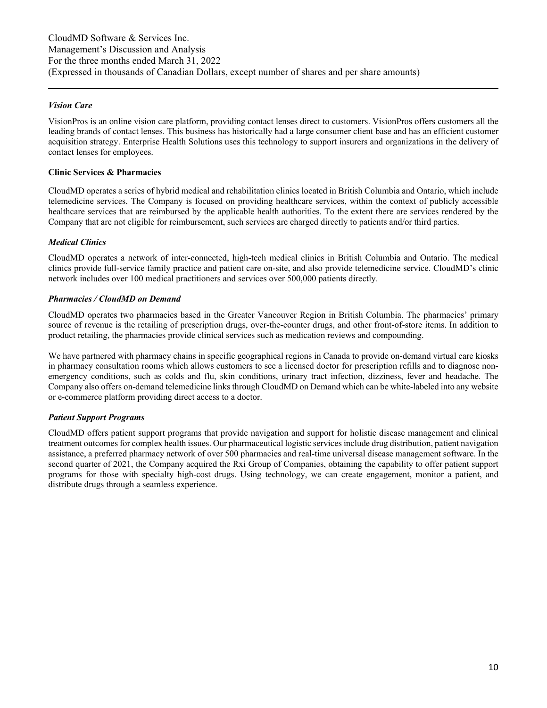#### *Vision Care*

VisionPros is an online vision care platform, providing contact lenses direct to customers. VisionPros offers customers all the leading brands of contact lenses. This business has historically had a large consumer client base and has an efficient customer acquisition strategy. Enterprise Health Solutions uses this technology to support insurers and organizations in the delivery of contact lenses for employees.

#### **Clinic Services & Pharmacies**

CloudMD operates a series of hybrid medical and rehabilitation clinics located in British Columbia and Ontario, which include telemedicine services. The Company is focused on providing healthcare services, within the context of publicly accessible healthcare services that are reimbursed by the applicable health authorities. To the extent there are services rendered by the Company that are not eligible for reimbursement, such services are charged directly to patients and/or third parties.

#### *Medical Clinics*

CloudMD operates a network of inter-connected, high-tech medical clinics in British Columbia and Ontario. The medical clinics provide full-service family practice and patient care on-site, and also provide telemedicine service. CloudMD's clinic network includes over 100 medical practitioners and services over 500,000 patients directly.

#### *Pharmacies / CloudMD on Demand*

CloudMD operates two pharmacies based in the Greater Vancouver Region in British Columbia. The pharmacies' primary source of revenue is the retailing of prescription drugs, over-the-counter drugs, and other front-of-store items. In addition to product retailing, the pharmacies provide clinical services such as medication reviews and compounding.

We have partnered with pharmacy chains in specific geographical regions in Canada to provide on-demand virtual care kiosks in pharmacy consultation rooms which allows customers to see a licensed doctor for prescription refills and to diagnose nonemergency conditions, such as colds and flu, skin conditions, urinary tract infection, dizziness, fever and headache. The Company also offers on-demand telemedicine links through CloudMD on Demand which can be white-labeled into any website or e-commerce platform providing direct access to a doctor.

#### *Patient Support Programs*

CloudMD offers patient support programs that provide navigation and support for holistic disease management and clinical treatment outcomes for complex health issues. Our pharmaceutical logistic services include drug distribution, patient navigation assistance, a preferred pharmacy network of over 500 pharmacies and real-time universal disease management software. In the second quarter of 2021, the Company acquired the Rxi Group of Companies, obtaining the capability to offer patient support programs for those with specialty high-cost drugs. Using technology, we can create engagement, monitor a patient, and distribute drugs through a seamless experience.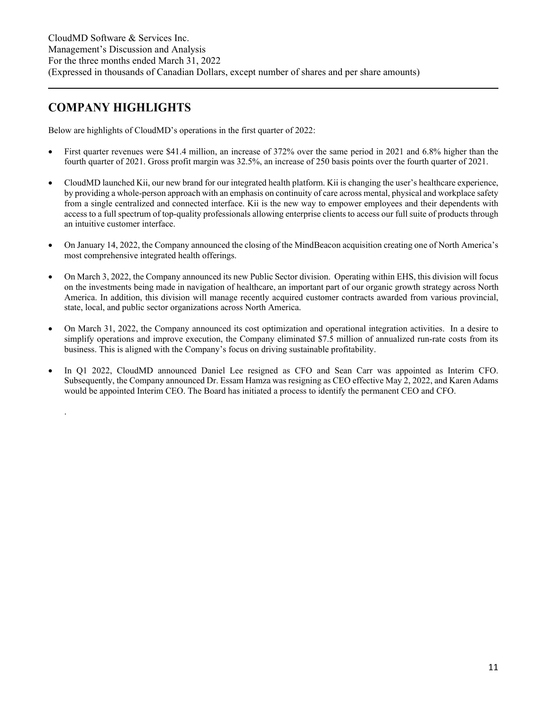# **COMPANY HIGHLIGHTS**

.

Below are highlights of CloudMD's operations in the first quarter of 2022:

- First quarter revenues were \$41.4 million, an increase of 372% over the same period in 2021 and 6.8% higher than the fourth quarter of 2021. Gross profit margin was 32.5%, an increase of 250 basis points over the fourth quarter of 2021.
- CloudMD launched Kii, our new brand for our integrated health platform. Kii is changing the user's healthcare experience, by providing a whole-person approach with an emphasis on continuity of care across mental, physical and workplace safety from a single centralized and connected interface. Kii is the new way to empower employees and their dependents with access to a full spectrum of top-quality professionals allowing enterprise clients to access our full suite of products through an intuitive customer interface.
- On January 14, 2022, the Company announced the closing of the MindBeacon acquisition creating one of North America's most comprehensive integrated health offerings.
- On March 3, 2022, the Company announced its new Public Sector division. Operating within EHS, this division will focus on the investments being made in navigation of healthcare, an important part of our organic growth strategy across North America. In addition, this division will manage recently acquired customer contracts awarded from various provincial, state, local, and public sector organizations across North America.
- On March 31, 2022, the Company announced its cost optimization and operational integration activities. In a desire to simplify operations and improve execution, the Company eliminated \$7.5 million of annualized run-rate costs from its business. This is aligned with the Company's focus on driving sustainable profitability.
- In Q1 2022, CloudMD announced Daniel Lee resigned as CFO and Sean Carr was appointed as Interim CFO. Subsequently, the Company announced Dr. Essam Hamza was resigning as CEO effective May 2, 2022, and Karen Adams would be appointed Interim CEO. The Board has initiated a process to identify the permanent CEO and CFO.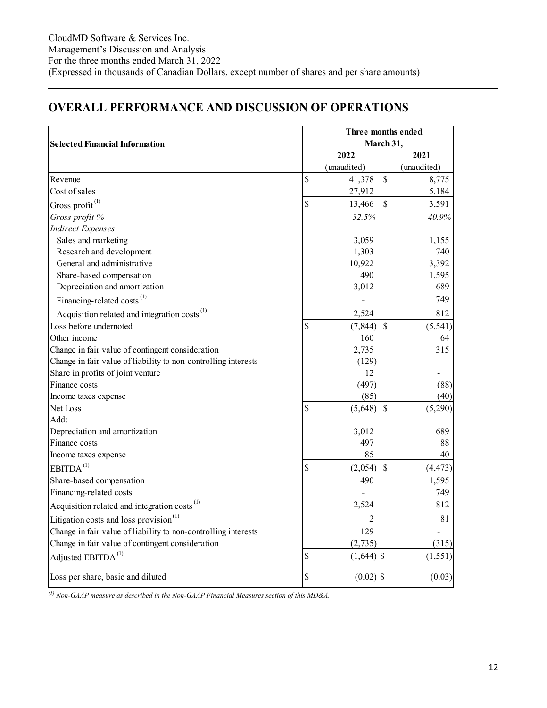# **OVERALL PERFORMANCE AND DISCUSSION OF OPERATIONS**

|                                                                | Three months ended |              |               |             |  |  |  |
|----------------------------------------------------------------|--------------------|--------------|---------------|-------------|--|--|--|
| <b>Selected Financial Information</b>                          |                    |              | March 31,     |             |  |  |  |
|                                                                |                    | 2022         |               | 2021        |  |  |  |
|                                                                |                    | (unaudited)  |               | (unaudited) |  |  |  |
| Revenue                                                        | \$                 | 41,378       | $\mathsf{\$}$ | 8,775       |  |  |  |
| Cost of sales                                                  |                    | 27,912       |               | 5,184       |  |  |  |
| Gross profit <sup>(1)</sup>                                    | \$                 | 13,466       | $\mathcal{S}$ | 3,591       |  |  |  |
| Gross profit %                                                 |                    | 32.5%        |               | 40.9%       |  |  |  |
| <b>Indirect Expenses</b>                                       |                    |              |               |             |  |  |  |
| Sales and marketing                                            |                    | 3,059        |               | 1,155       |  |  |  |
| Research and development                                       |                    | 1,303        |               | 740         |  |  |  |
| General and administrative                                     |                    | 10,922       |               | 3,392       |  |  |  |
| Share-based compensation                                       |                    | 490          |               | 1,595       |  |  |  |
| Depreciation and amortization                                  |                    | 3,012        |               | 689         |  |  |  |
| Financing-related costs <sup>(1)</sup>                         |                    |              |               | 749         |  |  |  |
| Acquisition related and integration costs <sup>(1)</sup>       |                    | 2,524        |               | 812         |  |  |  |
| Loss before undernoted                                         | \$                 | $(7,844)$ \$ |               | (5, 541)    |  |  |  |
| Other income                                                   |                    | 160          |               | 64          |  |  |  |
| Change in fair value of contingent consideration               |                    | 2,735        |               | 315         |  |  |  |
| Change in fair value of liability to non-controlling interests |                    | (129)        |               |             |  |  |  |
| Share in profits of joint venture                              |                    | 12           |               |             |  |  |  |
| Finance costs                                                  |                    | (497)        |               | (88)        |  |  |  |
| Income taxes expense                                           |                    | (85)         |               | (40)        |  |  |  |
| Net Loss                                                       | \$                 | $(5,648)$ \$ |               | (5,290)     |  |  |  |
| Add:                                                           |                    |              |               |             |  |  |  |
| Depreciation and amortization                                  |                    | 3,012        |               | 689         |  |  |  |
| Finance costs                                                  |                    | 497          |               | 88          |  |  |  |
| Income taxes expense                                           |                    | 85           |               | 40          |  |  |  |
| EBITDA <sup>(1)</sup>                                          | \$                 | $(2,054)$ \$ |               | (4, 473)    |  |  |  |
| Share-based compensation                                       |                    | 490          |               | 1,595       |  |  |  |
| Financing-related costs                                        |                    |              |               | 749         |  |  |  |
| Acquisition related and integration costs <sup>(1)</sup>       |                    | 2,524        |               | 812         |  |  |  |
| Litigation costs and loss provision <sup>(1)</sup>             |                    | 2            |               | 81          |  |  |  |
| Change in fair value of liability to non-controlling interests |                    | 129          |               |             |  |  |  |
| Change in fair value of contingent consideration               |                    | (2,735)      |               | (315)       |  |  |  |
| Adjusted EBITDA <sup>(1)</sup>                                 | \$                 | $(1,644)$ \$ |               | (1, 551)    |  |  |  |
| Loss per share, basic and diluted                              | \$                 | $(0.02)$ \$  |               | (0.03)      |  |  |  |

*(1) Non-GAAP measure as described in the Non-GAAP Financial Measures section of this MD&A.*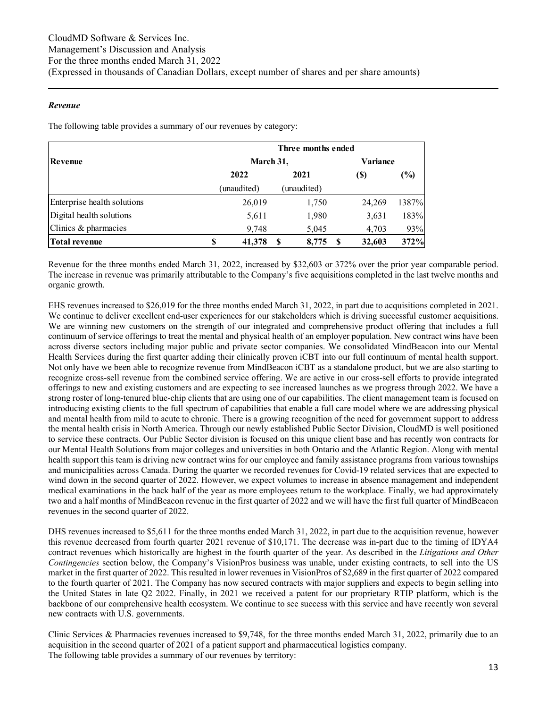#### *Revenue*

The following table provides a summary of our revenues by category:

|                             | Three months ended |             |   |             |     |               |                 |  |  |  |
|-----------------------------|--------------------|-------------|---|-------------|-----|---------------|-----------------|--|--|--|
| Revenue                     |                    | March 31,   |   |             |     |               | <b>Variance</b> |  |  |  |
|                             |                    | 2021        |   |             | (S) | $\frac{9}{9}$ |                 |  |  |  |
|                             |                    | (unaudited) |   | (unaudited) |     |               |                 |  |  |  |
| Enterprise health solutions |                    | 26,019      |   | 1,750       |     | 24,269        | 1387%           |  |  |  |
| Digital health solutions    |                    | 5,611       |   | 1,980       |     | 3,631         | 183%            |  |  |  |
| Clinics & pharmacies        |                    | 9,748       |   | 5,045       |     | 4,703         | 93%             |  |  |  |
| <b>Total revenue</b>        | \$                 | 41,378      | S | 8,775       |     | 32,603        | 372%            |  |  |  |

Revenue for the three months ended March 31, 2022, increased by \$32,603 or 372% over the prior year comparable period. The increase in revenue was primarily attributable to the Company's five acquisitions completed in the last twelve months and organic growth.

EHS revenues increased to \$26,019 for the three months ended March 31, 2022, in part due to acquisitions completed in 2021. We continue to deliver excellent end-user experiences for our stakeholders which is driving successful customer acquisitions. We are winning new customers on the strength of our integrated and comprehensive product offering that includes a full continuum of service offerings to treat the mental and physical health of an employer population. New contract wins have been across diverse sectors including major public and private sector companies. We consolidated MindBeacon into our Mental Health Services during the first quarter adding their clinically proven iCBT into our full continuum of mental health support. Not only have we been able to recognize revenue from MindBeacon iCBT as a standalone product, but we are also starting to recognize cross-sell revenue from the combined service offering. We are active in our cross-sell efforts to provide integrated offerings to new and existing customers and are expecting to see increased launches as we progress through 2022. We have a strong roster of long-tenured blue-chip clients that are using one of our capabilities. The client management team is focused on introducing existing clients to the full spectrum of capabilities that enable a full care model where we are addressing physical and mental health from mild to acute to chronic. There is a growing recognition of the need for government support to address the mental health crisis in North America. Through our newly established Public Sector Division, CloudMD is well positioned to service these contracts. Our Public Sector division is focused on this unique client base and has recently won contracts for our Mental Health Solutions from major colleges and universities in both Ontario and the Atlantic Region. Along with mental health support this team is driving new contract wins for our employee and family assistance programs from various townships and municipalities across Canada. During the quarter we recorded revenues for Covid-19 related services that are expected to wind down in the second quarter of 2022. However, we expect volumes to increase in absence management and independent medical examinations in the back half of the year as more employees return to the workplace. Finally, we had approximately two and a half months of MindBeacon revenue in the first quarter of 2022 and we will have the first full quarter of MindBeacon revenues in the second quarter of 2022.

DHS revenues increased to \$5,611 for the three months ended March 31, 2022, in part due to the acquisition revenue, however this revenue decreased from fourth quarter 2021 revenue of \$10,171. The decrease was in-part due to the timing of IDYA4 contract revenues which historically are highest in the fourth quarter of the year. As described in the *Litigations and Other Contingencies* section below, the Company's VisionPros business was unable, under existing contracts, to sell into the US market in the first quarter of 2022. This resulted in lower revenues in VisionPros of \$2,689 in the first quarter of 2022 compared to the fourth quarter of 2021. The Company has now secured contracts with major suppliers and expects to begin selling into the United States in late Q2 2022. Finally, in 2021 we received a patent for our proprietary RTIP platform, which is the backbone of our comprehensive health ecosystem. We continue to see success with this service and have recently won several new contracts with U.S. governments.

Clinic Services & Pharmacies revenues increased to \$9,748, for the three months ended March 31, 2022, primarily due to an acquisition in the second quarter of 2021 of a patient support and pharmaceutical logistics company. The following table provides a summary of our revenues by territory: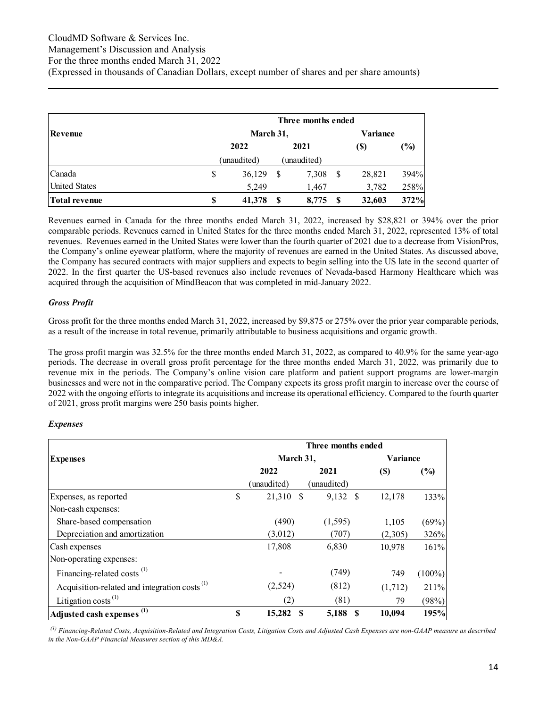|                      | Three months ended |   |             |    |        |               |  |  |  |
|----------------------|--------------------|---|-------------|----|--------|---------------|--|--|--|
| Revenue              | March 31,          |   |             |    |        |               |  |  |  |
|                      | 2022               |   | 2021        |    | (S)    | $\frac{6}{2}$ |  |  |  |
|                      | (unaudited)        |   | (unaudited) |    |        |               |  |  |  |
| Canada               | \$<br>36,129       | S | 7,308       | \$ | 28,821 | 394%          |  |  |  |
| <b>United States</b> | 5,249              |   | 1,467       |    | 3,782  | 258%          |  |  |  |
| <b>Total revenue</b> | \$<br>41,378       |   | 8.775       |    | 32,603 | 372%          |  |  |  |

Revenues earned in Canada for the three months ended March 31, 2022, increased by \$28,821 or 394% over the prior comparable periods. Revenues earned in United States for the three months ended March 31, 2022, represented 13% of total revenues. Revenues earned in the United States were lower than the fourth quarter of 2021 due to a decrease from VisionPros, the Company's online eyewear platform, where the majority of revenues are earned in the United States. As discussed above, the Company has secured contracts with major suppliers and expects to begin selling into the US late in the second quarter of 2022. In the first quarter the US-based revenues also include revenues of Nevada-based Harmony Healthcare which was acquired through the acquisition of MindBeacon that was completed in mid-January 2022.

#### *Gross Profit*

Gross profit for the three months ended March 31, 2022, increased by \$9,875 or 275% over the prior year comparable periods, as a result of the increase in total revenue, primarily attributable to business acquisitions and organic growth.

The gross profit margin was 32.5% for the three months ended March 31, 2022, as compared to 40.9% for the same year-ago periods. The decrease in overall gross profit percentage for the three months ended March 31, 2022, was primarily due to revenue mix in the periods. The Company's online vision care platform and patient support programs are lower-margin businesses and were not in the comparative period. The Company expects its gross profit margin to increase over the course of 2022 with the ongoing efforts to integrate its acquisitions and increase its operational efficiency. Compared to the fourth quarter of 2021, gross profit margins were 250 basis points higher.

#### *Expenses*

|                                                          |                 | Three months ended |                            |           |
|----------------------------------------------------------|-----------------|--------------------|----------------------------|-----------|
| <b>Expenses</b>                                          | March 31,       | <b>Variance</b>    |                            |           |
|                                                          | 2022            | 2021               | $\left( \mathbb{S}\right)$ | $(\%)$    |
|                                                          | (unaudited)     | (unaudited)        |                            |           |
| Expenses, as reported                                    | \$<br>21,310 \$ | 9,132 \$           | 12,178                     | 133%      |
| Non-cash expenses:                                       |                 |                    |                            |           |
| Share-based compensation                                 | (490)           | (1, 595)           | 1,105                      | (69%)     |
| Depreciation and amortization                            | (3,012)         | (707)              | (2,305)                    | 326%      |
| Cash expenses                                            | 17,808          | 6,830              | 10,978                     | 161%      |
| Non-operating expenses:                                  |                 |                    |                            |           |
| Financing-related costs <sup>(1)</sup>                   |                 | (749)              | 749                        | $(100\%)$ |
| Acquisition-related and integration costs <sup>(1)</sup> | (2,524)         | (812)              | (1,712)                    | 211%      |
| Litigation costs <sup><math>(1)</math></sup>             | (2)             | (81)               | 79                         | (98%)     |
| Adjusted cash expenses <sup>(1)</sup>                    | \$<br>15,282    | 5,188              | 10,094<br>- \$             | 195%      |

*(1) Financing-Related Costs, Acquisition-Related and Integration Costs, Litigation Costs and Adjusted Cash Expenses are non-GAAP measure as described in the Non-GAAP Financial Measures section of this MD&A.*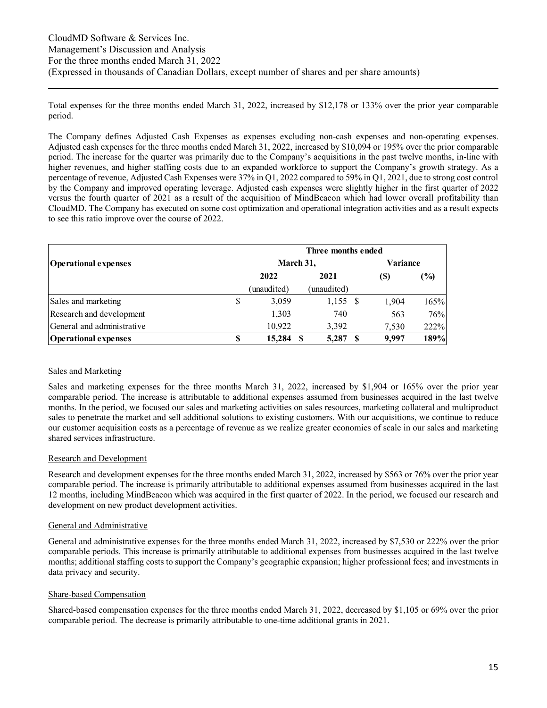Total expenses for the three months ended March 31, 2022, increased by \$12,178 or 133% over the prior year comparable period.

The Company defines Adjusted Cash Expenses as expenses excluding non-cash expenses and non-operating expenses. Adjusted cash expenses for the three months ended March 31, 2022, increased by \$10,094 or 195% over the prior comparable period. The increase for the quarter was primarily due to the Company's acquisitions in the past twelve months, in-line with higher revenues, and higher staffing costs due to an expanded workforce to support the Company's growth strategy. As a percentage of revenue, Adjusted Cash Expenses were 37% in Q1, 2022 compared to 59% in Q1, 2021, due to strong cost control by the Company and improved operating leverage. Adjusted cash expenses were slightly higher in the first quarter of 2022 versus the fourth quarter of 2021 as a result of the acquisition of MindBeacon which had lower overall profitability than CloudMD. The Company has executed on some cost optimization and operational integration activities and as a result expects to see this ratio improve over the course of 2022.

|                             | Three months ended |             |             |  |       |        |  |  |  |
|-----------------------------|--------------------|-------------|-------------|--|-------|--------|--|--|--|
| <b>Operational expenses</b> |                    | March 31,   |             |  |       |        |  |  |  |
|                             |                    | 2022        | 2021        |  | (S)   | $(\%)$ |  |  |  |
|                             |                    | (unaudited) | (unaudited) |  |       |        |  |  |  |
| Sales and marketing         | \$                 | 3,059       | $1,155$ \$  |  | 1,904 | 165%   |  |  |  |
| Research and development    |                    | 1,303       | 740         |  | 563   | 76%    |  |  |  |
| General and administrative  |                    | 10,922      | 3,392       |  | 7,530 | 222%   |  |  |  |
| <b>Operational expenses</b> | S                  | 15,284      | 5,287       |  | 9.997 | 189%   |  |  |  |

#### Sales and Marketing

Sales and marketing expenses for the three months March 31, 2022, increased by \$1,904 or 165% over the prior year comparable period. The increase is attributable to additional expenses assumed from businesses acquired in the last twelve months. In the period, we focused our sales and marketing activities on sales resources, marketing collateral and multiproduct sales to penetrate the market and sell additional solutions to existing customers. With our acquisitions, we continue to reduce our customer acquisition costs as a percentage of revenue as we realize greater economies of scale in our sales and marketing shared services infrastructure.

#### Research and Development

Research and development expenses for the three months ended March 31, 2022, increased by \$563 or 76% over the prior year comparable period. The increase is primarily attributable to additional expenses assumed from businesses acquired in the last 12 months, including MindBeacon which was acquired in the first quarter of 2022. In the period, we focused our research and development on new product development activities.

#### General and Administrative

General and administrative expenses for the three months ended March 31, 2022, increased by \$7,530 or 222% over the prior comparable periods. This increase is primarily attributable to additional expenses from businesses acquired in the last twelve months; additional staffing costs to support the Company's geographic expansion; higher professional fees; and investments in data privacy and security.

#### Share-based Compensation

Shared-based compensation expenses for the three months ended March 31, 2022, decreased by \$1,105 or 69% over the prior comparable period. The decrease is primarily attributable to one-time additional grants in 2021.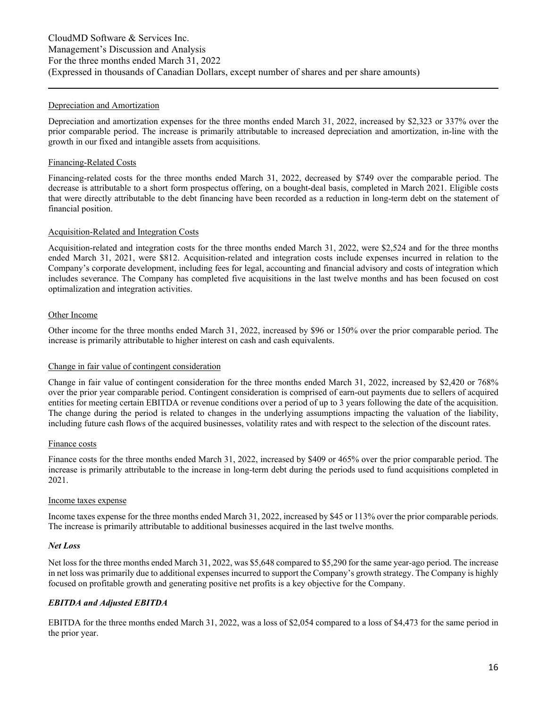#### Depreciation and Amortization

Depreciation and amortization expenses for the three months ended March 31, 2022, increased by \$2,323 or 337% over the prior comparable period. The increase is primarily attributable to increased depreciation and amortization, in-line with the growth in our fixed and intangible assets from acquisitions.

#### Financing-Related Costs

Financing-related costs for the three months ended March 31, 2022, decreased by \$749 over the comparable period. The decrease is attributable to a short form prospectus offering, on a bought-deal basis, completed in March 2021. Eligible costs that were directly attributable to the debt financing have been recorded as a reduction in long-term debt on the statement of financial position.

#### Acquisition-Related and Integration Costs

Acquisition-related and integration costs for the three months ended March 31, 2022, were \$2,524 and for the three months ended March 31, 2021, were \$812. Acquisition-related and integration costs include expenses incurred in relation to the Company's corporate development, including fees for legal, accounting and financial advisory and costs of integration which includes severance. The Company has completed five acquisitions in the last twelve months and has been focused on cost optimalization and integration activities.

#### Other Income

Other income for the three months ended March 31, 2022, increased by \$96 or 150% over the prior comparable period. The increase is primarily attributable to higher interest on cash and cash equivalents.

#### Change in fair value of contingent consideration

Change in fair value of contingent consideration for the three months ended March 31, 2022, increased by \$2,420 or 768% over the prior year comparable period. Contingent consideration is comprised of earn-out payments due to sellers of acquired entities for meeting certain EBITDA or revenue conditions over a period of up to 3 years following the date of the acquisition. The change during the period is related to changes in the underlying assumptions impacting the valuation of the liability, including future cash flows of the acquired businesses, volatility rates and with respect to the selection of the discount rates.

#### Finance costs

Finance costs for the three months ended March 31, 2022, increased by \$409 or 465% over the prior comparable period. The increase is primarily attributable to the increase in long-term debt during the periods used to fund acquisitions completed in 2021.

#### Income taxes expense

Income taxes expense for the three months ended March 31, 2022, increased by \$45 or 113% over the prior comparable periods. The increase is primarily attributable to additional businesses acquired in the last twelve months.

#### *Net Loss*

Net loss for the three months ended March 31, 2022, was \$5,648 compared to \$5,290 for the same year-ago period. The increase in net loss was primarily due to additional expenses incurred to support the Company's growth strategy. The Company is highly focused on profitable growth and generating positive net profits is a key objective for the Company.

#### *EBITDA and Adjusted EBITDA*

EBITDA for the three months ended March 31, 2022, was a loss of \$2,054 compared to a loss of \$4,473 for the same period in the prior year.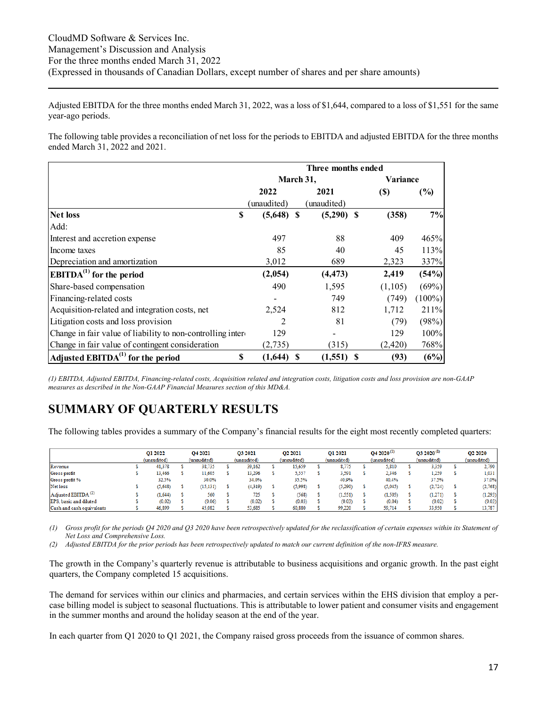Adjusted EBITDA for the three months ended March 31, 2022, was a loss of \$1,644, compared to a loss of \$1,551 for the same year-ago periods.

The following table provides a reconciliation of net loss for the periods to EBITDA and adjusted EBITDA for the three months ended March 31, 2022 and 2021.

|                                                            |                | Three months ended |        |                    |
|------------------------------------------------------------|----------------|--------------------|--------|--------------------|
|                                                            |                | March 31,          |        | <b>Variance</b>    |
|                                                            | 2022           | 2021               | $(\$)$ | (%)                |
|                                                            | (unaudited)    | (unaudited)        |        |                    |
| \$<br><b>Net loss</b>                                      | $(5,648)$ \$   | $(5,290)$ \$       |        | 7%<br>(358)        |
| Add:                                                       |                |                    |        |                    |
| Interest and accretion expense                             | 497            | 88                 |        | 409<br>465%        |
| Income taxes                                               | 85             | 40                 |        | 113%<br>45         |
| Depreciation and amortization                              | 3,012          | 689                |        | 337%<br>2,323      |
| $\mathbf{EBITDA}^{(1)}$ for the period                     | (2,054)        | (4, 473)           |        | (54%)<br>2,419     |
| Share-based compensation                                   | 490            | 1,595              |        | (69%)<br>(1,105)   |
| Financing-related costs                                    |                | 749                |        | $(100\%)$<br>(749) |
| Acquisition-related and integration costs, net             | 2,524          | 812                |        | 1,712<br>211\%     |
| Litigation costs and loss provision                        | $\overline{2}$ | 81                 |        | (79)<br>(98%)      |
| Change in fair value of liability to non-controlling inter | 129            |                    |        | 100%<br>129        |
| Change in fair value of contingent consideration           | (2,735)        | (315)              |        | 768%<br>(2,420)    |
| Adjusted $EBITDA(1)$ for the period                        | \$<br>(1,644)  | $(1,551)$ \$<br>S  |        | (93)<br>(6%)       |

*(1) EBITDA, Adjusted EBITDA, Financing-related costs, Acquisition related and integration costs, litigation costs and loss provision are non-GAAP measures as described in the Non-GAAP Financial Measures section of this MD&A.* 

# **SUMMARY OF QUARTERLY RESULTS**

The following tables provides a summary of the Company's financial results for the eight most recently completed quarters:

|                                   | O1 2022     | O <sub>4</sub> 2021 | O3 2021     | O <sub>2</sub> 2021 | O1 2021     | $Q42020^{(1)}$ | $Q32020^{(1)}$ | <b>O2 2020</b> |
|-----------------------------------|-------------|---------------------|-------------|---------------------|-------------|----------------|----------------|----------------|
|                                   | (unaudited) | (unaudited)         | (unaudited) | (unaudited)         | (unaudited) | (unaudited)    | (unaudited)    | (unaudited)    |
| Revenue                           | 41.378      | 38,735              | 39,162      | 15,659              | 8,775       | 5,810          | 3,359          | 2,790          |
| Gross profit                      | 13,466      | 11.605              | 13.296      | 5,557               | 3,591       | 2,346          | 1.259          | 1,031          |
| Gross profit %                    | 32.5%       | 30.0%               | 34.0%       | 35.5%               | 40.9%       | 40.4%          | 37.5%          | 37.0%          |
| Net loss                          | (5.648)     | (15, 131)           | (4, 319)    | (5,998)             | (5,290)     | (5,045)        | (2, 724)       | (2,768)        |
| $A$ djusted EBITDA <sup>(2)</sup> | (1.644)     | 560                 | 725         | (568)               | 1,551)      | (1, 505)       | (1,271)        | (1, 293)       |
| EPS, basic and diluted            | (0.02)      | (0.06)              | (0.02)      | (0.03)              | (0.03)      | (0.04)         | (0.02)         | (0.03)         |
| Cash and cash equivalents         | 46.899      | 45,082              | 53.685      | 60.880              | 99.220      | 59.714         | 33,950         | 13,787         |

*(1) Gross profit for the periods Q4 2020 and Q3 2020 have been retrospectively updated for the reclassification of certain expenses within its Statement of Net Loss and Comprehensive Loss.* 

*(2) Adjusted EBITDA for the prior periods has been retrospectively updated to match our current definition of the non-IFRS measure.* 

The growth in the Company's quarterly revenue is attributable to business acquisitions and organic growth. In the past eight quarters, the Company completed 15 acquisitions.

The demand for services within our clinics and pharmacies, and certain services within the EHS division that employ a percase billing model is subject to seasonal fluctuations. This is attributable to lower patient and consumer visits and engagement in the summer months and around the holiday season at the end of the year.

In each quarter from Q1 2020 to Q1 2021, the Company raised gross proceeds from the issuance of common shares.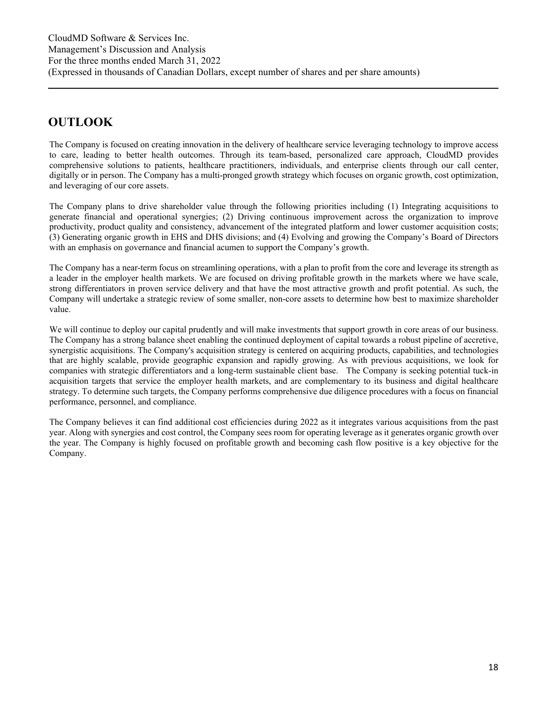# **OUTLOOK**

The Company is focused on creating innovation in the delivery of healthcare service leveraging technology to improve access to care, leading to better health outcomes. Through its team-based, personalized care approach, CloudMD provides comprehensive solutions to patients, healthcare practitioners, individuals, and enterprise clients through our call center, digitally or in person. The Company has a multi-pronged growth strategy which focuses on organic growth, cost optimization, and leveraging of our core assets.

The Company plans to drive shareholder value through the following priorities including (1) Integrating acquisitions to generate financial and operational synergies; (2) Driving continuous improvement across the organization to improve productivity, product quality and consistency, advancement of the integrated platform and lower customer acquisition costs; (3) Generating organic growth in EHS and DHS divisions; and (4) Evolving and growing the Company's Board of Directors with an emphasis on governance and financial acumen to support the Company's growth.

The Company has a near-term focus on streamlining operations, with a plan to profit from the core and leverage its strength as a leader in the employer health markets. We are focused on driving profitable growth in the markets where we have scale, strong differentiators in proven service delivery and that have the most attractive growth and profit potential. As such, the Company will undertake a strategic review of some smaller, non-core assets to determine how best to maximize shareholder value.

We will continue to deploy our capital prudently and will make investments that support growth in core areas of our business. The Company has a strong balance sheet enabling the continued deployment of capital towards a robust pipeline of accretive, synergistic acquisitions. The Company's acquisition strategy is centered on acquiring products, capabilities, and technologies that are highly scalable, provide geographic expansion and rapidly growing. As with previous acquisitions, we look for companies with strategic differentiators and a long-term sustainable client base. The Company is seeking potential tuck-in acquisition targets that service the employer health markets, and are complementary to its business and digital healthcare strategy. To determine such targets, the Company performs comprehensive due diligence procedures with a focus on financial performance, personnel, and compliance.

The Company believes it can find additional cost efficiencies during 2022 as it integrates various acquisitions from the past year. Along with synergies and cost control, the Company sees room for operating leverage as it generates organic growth over the year. The Company is highly focused on profitable growth and becoming cash flow positive is a key objective for the Company.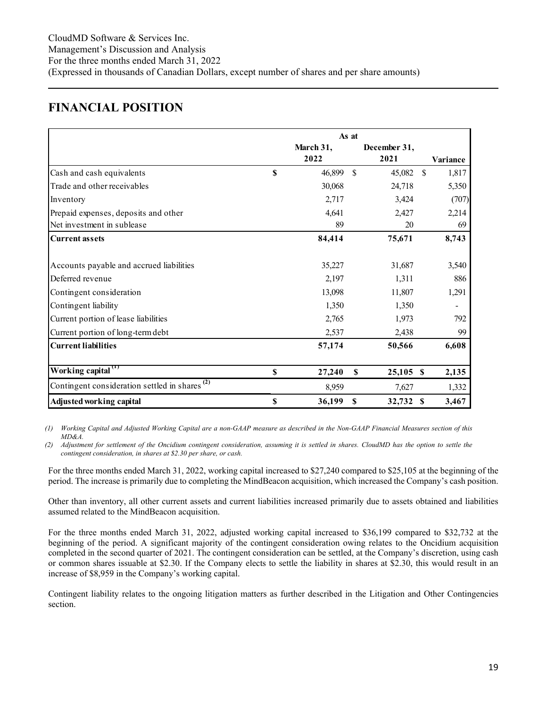### **FINANCIAL POSITION**

|                                                                |              | As at         |              |               |          |
|----------------------------------------------------------------|--------------|---------------|--------------|---------------|----------|
|                                                                | March 31,    |               | December 31, |               |          |
|                                                                | 2022         |               | 2021         |               | Variance |
| Cash and cash equivalents                                      | \$<br>46,899 | <sup>\$</sup> | 45,082       | <sup>\$</sup> | 1,817    |
| Trade and other receivables                                    | 30,068       |               | 24,718       |               | 5,350    |
| Inventory                                                      | 2,717        |               | 3,424        |               | (707)    |
| Prepaid expenses, deposits and other                           | 4,641        |               | 2,427        |               | 2,214    |
| Net investment in sublease                                     | 89           |               | 20           |               | 69       |
| <b>Current assets</b>                                          | 84,414       |               | 75,671       |               | 8,743    |
| Accounts payable and accrued liabilities                       | 35,227       |               | 31,687       |               | 3,540    |
| Deferred revenue                                               | 2,197        |               | 1,311        |               | 886      |
| Contingent consideration                                       | 13,098       |               | 11,807       |               | 1,291    |
| Contingent liability                                           | 1,350        |               | 1,350        |               |          |
| Current portion of lease liabilities                           | 2,765        |               | 1,973        |               | 792      |
| Current portion of long-term debt                              | 2,537        |               | 2,438        |               | 99       |
| <b>Current liabilities</b>                                     | 57,174       |               | 50,566       |               | 6,608    |
| Working capital <sup>(1)</sup>                                 | \$<br>27,240 | S             | $25,105$ \$  |               | 2,135    |
| Contingent consideration settled in shares $\overline{^{(2)}}$ | 8,959        |               | 7,627        |               | 1,332    |
| Adjusted working capital                                       | \$<br>36,199 | \$            | 32,732 \$    |               | 3,467    |

*(1) Working Capital and Adjusted Working Capital are a non-GAAP measure as described in the Non-GAAP Financial Measures section of this MD&A.* 

*(2) Adjustment for settlement of the Oncidium contingent consideration, assuming it is settled in shares. CloudMD has the option to settle the contingent consideration, in shares at \$2.30 per share, or cash.* 

For the three months ended March 31, 2022, working capital increased to \$27,240 compared to \$25,105 at the beginning of the period. The increase is primarily due to completing the MindBeacon acquisition, which increased the Company's cash position.

Other than inventory, all other current assets and current liabilities increased primarily due to assets obtained and liabilities assumed related to the MindBeacon acquisition.

For the three months ended March 31, 2022, adjusted working capital increased to \$36,199 compared to \$32,732 at the beginning of the period. A significant majority of the contingent consideration owing relates to the Oncidium acquisition completed in the second quarter of 2021. The contingent consideration can be settled, at the Company's discretion, using cash or common shares issuable at \$2.30. If the Company elects to settle the liability in shares at \$2.30, this would result in an increase of \$8,959 in the Company's working capital.

Contingent liability relates to the ongoing litigation matters as further described in the Litigation and Other Contingencies section.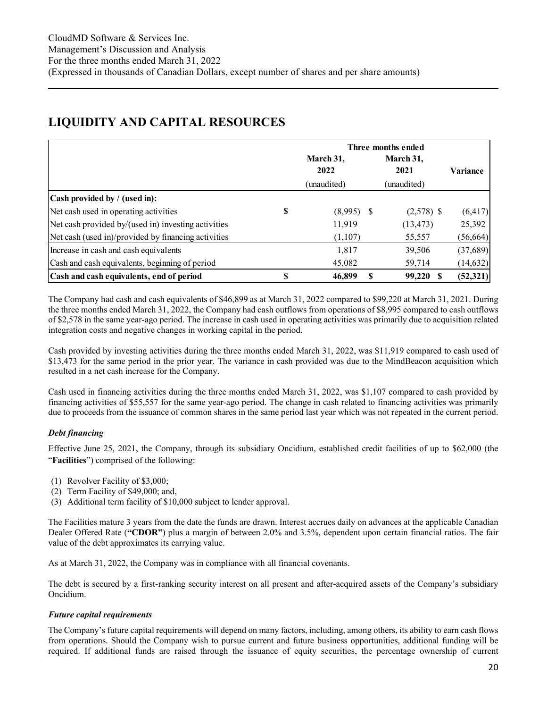# **LIQUIDITY AND CAPITAL RESOURCES**

|                                                     |   | Three months ended |                   |                 |  |  |  |  |  |  |
|-----------------------------------------------------|---|--------------------|-------------------|-----------------|--|--|--|--|--|--|
|                                                     |   | March 31,<br>2022  | March 31,<br>2021 | <b>Variance</b> |  |  |  |  |  |  |
|                                                     |   | (unaudited)        | (unaudited)       |                 |  |  |  |  |  |  |
| Cash provided by / (used in):                       |   |                    |                   |                 |  |  |  |  |  |  |
| Net cash used in operating activities               | S | $(8,995)$ \$       | $(2,578)$ \$      | (6, 417)        |  |  |  |  |  |  |
| Net cash provided by/(used in) investing activities |   | 11,919             | (13, 473)         | 25,392          |  |  |  |  |  |  |
| Net cash (used in)/provided by financing activities |   | (1,107)            | 55,557            | (56, 664)       |  |  |  |  |  |  |
| Increase in cash and cash equivalents               |   | 1,817              | 39,506            | (37,689)        |  |  |  |  |  |  |
| Cash and cash equivalents, beginning of period      |   | 45,082             | 59,714            | (14, 632)       |  |  |  |  |  |  |
| Cash and cash equivalents, end of period            | S | 46,899<br>-S       | 99,220            | (52,321)        |  |  |  |  |  |  |

The Company had cash and cash equivalents of \$46,899 as at March 31, 2022 compared to \$99,220 at March 31, 2021. During the three months ended March 31, 2022, the Company had cash outflows from operations of \$8,995 compared to cash outflows of \$2,578 in the same year-ago period. The increase in cash used in operating activities was primarily due to acquisition related integration costs and negative changes in working capital in the period.

Cash provided by investing activities during the three months ended March 31, 2022, was \$11,919 compared to cash used of \$13,473 for the same period in the prior year. The variance in cash provided was due to the MindBeacon acquisition which resulted in a net cash increase for the Company.

Cash used in financing activities during the three months ended March 31, 2022, was \$1,107 compared to cash provided by financing activities of \$55,557 for the same year-ago period. The change in cash related to financing activities was primarily due to proceeds from the issuance of common shares in the same period last year which was not repeated in the current period.

#### *Debt financing*

Effective June 25, 2021, the Company, through its subsidiary Oncidium, established credit facilities of up to \$62,000 (the "**Facilities**") comprised of the following:

- (1) Revolver Facility of \$3,000;
- (2) Term Facility of \$49,000; and,
- (3) Additional term facility of \$10,000 subject to lender approval.

The Facilities mature 3 years from the date the funds are drawn. Interest accrues daily on advances at the applicable Canadian Dealer Offered Rate (**"CDOR"**) plus a margin of between 2.0% and 3.5%, dependent upon certain financial ratios. The fair value of the debt approximates its carrying value.

As at March 31, 2022, the Company was in compliance with all financial covenants.

The debt is secured by a first-ranking security interest on all present and after-acquired assets of the Company's subsidiary Oncidium.

#### *Future capital requirements*

The Company's future capital requirements will depend on many factors, including, among others, its ability to earn cash flows from operations. Should the Company wish to pursue current and future business opportunities, additional funding will be required. If additional funds are raised through the issuance of equity securities, the percentage ownership of current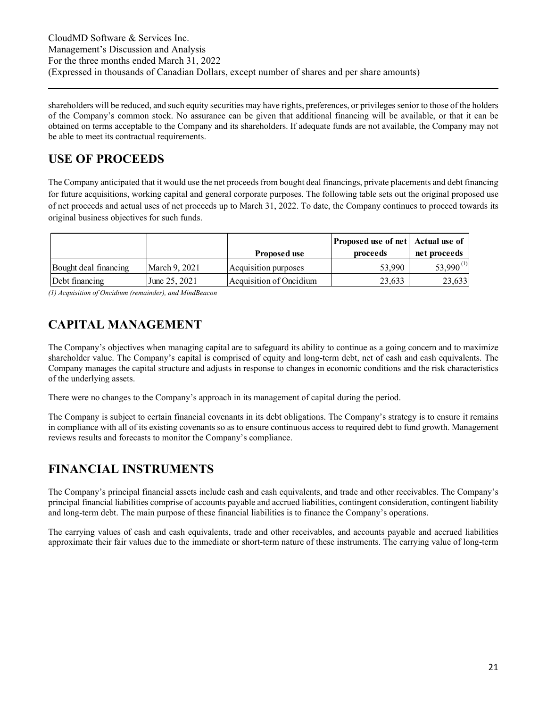shareholders will be reduced, and such equity securities may have rights, preferences, or privileges senior to those of the holders of the Company's common stock. No assurance can be given that additional financing will be available, or that it can be obtained on terms acceptable to the Company and its shareholders. If adequate funds are not available, the Company may not be able to meet its contractual requirements.

# **USE OF PROCEEDS**

The Company anticipated that it would use the net proceeds from bought deal financings, private placements and debt financing for future acquisitions, working capital and general corporate purposes. The following table sets out the original proposed use of net proceeds and actual uses of net proceeds up to March 31, 2022. To date, the Company continues to proceed towards its original business objectives for such funds.

|                       |                 | Proposed use            | Proposed use of net Actual use of<br>proceeds | net proceeds   |
|-----------------------|-----------------|-------------------------|-----------------------------------------------|----------------|
| Bought deal financing | March 9, 2021   | Acquisition purposes    | 53,990                                        | $53,990^{(1)}$ |
| Debt financing        | June $25, 2021$ | Acquisition of Oncidium | 23,633                                        | 23,633         |

*(1) Acquisition of Oncidium (remainder), and MindBeacon* 

# **CAPITAL MANAGEMENT**

The Company's objectives when managing capital are to safeguard its ability to continue as a going concern and to maximize shareholder value. The Company's capital is comprised of equity and long-term debt, net of cash and cash equivalents. The Company manages the capital structure and adjusts in response to changes in economic conditions and the risk characteristics of the underlying assets.

There were no changes to the Company's approach in its management of capital during the period.

The Company is subject to certain financial covenants in its debt obligations. The Company's strategy is to ensure it remains in compliance with all of its existing covenants so as to ensure continuous access to required debt to fund growth. Management reviews results and forecasts to monitor the Company's compliance.

# **FINANCIAL INSTRUMENTS**

The Company's principal financial assets include cash and cash equivalents, and trade and other receivables. The Company's principal financial liabilities comprise of accounts payable and accrued liabilities, contingent consideration, contingent liability and long-term debt. The main purpose of these financial liabilities is to finance the Company's operations.

The carrying values of cash and cash equivalents, trade and other receivables, and accounts payable and accrued liabilities approximate their fair values due to the immediate or short-term nature of these instruments. The carrying value of long-term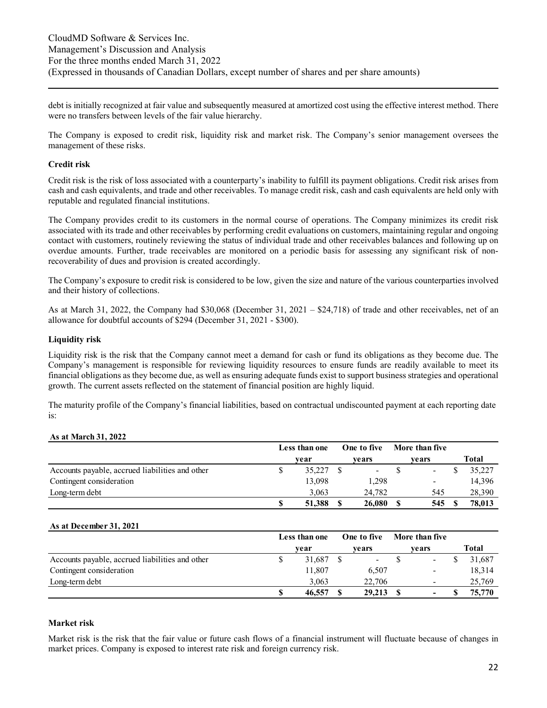debt is initially recognized at fair value and subsequently measured at amortized cost using the effective interest method. There were no transfers between levels of the fair value hierarchy.

The Company is exposed to credit risk, liquidity risk and market risk. The Company's senior management oversees the management of these risks.

#### **Credit risk**

Credit risk is the risk of loss associated with a counterparty's inability to fulfill its payment obligations. Credit risk arises from cash and cash equivalents, and trade and other receivables. To manage credit risk, cash and cash equivalents are held only with reputable and regulated financial institutions.

The Company provides credit to its customers in the normal course of operations. The Company minimizes its credit risk associated with its trade and other receivables by performing credit evaluations on customers, maintaining regular and ongoing contact with customers, routinely reviewing the status of individual trade and other receivables balances and following up on overdue amounts. Further, trade receivables are monitored on a periodic basis for assessing any significant risk of nonrecoverability of dues and provision is created accordingly.

The Company's exposure to credit risk is considered to be low, given the size and nature of the various counterparties involved and their history of collections.

As at March 31, 2022, the Company had \$30,068 (December 31, 2021 – \$24,718) of trade and other receivables, net of an allowance for doubtful accounts of \$294 (December 31, 2021 - \$300).

#### **Liquidity risk**

Liquidity risk is the risk that the Company cannot meet a demand for cash or fund its obligations as they become due. The Company's management is responsible for reviewing liquidity resources to ensure funds are readily available to meet its financial obligations as they become due, as well as ensuring adequate funds exist to support business strategies and operational growth. The current assets reflected on the statement of financial position are highly liquid.

The maturity profile of the Company's financial liabilities, based on contractual undiscounted payment at each reporting date is:

#### **As at March 31, 2022**

|                                                 | Less than one          |        |  | One to five              | More than five |                          |  |        |
|-------------------------------------------------|------------------------|--------|--|--------------------------|----------------|--------------------------|--|--------|
|                                                 | vears<br>vears<br>vear |        |  |                          | Total          |                          |  |        |
| Accounts payable, accrued liabilities and other |                        | 35,227 |  | $\overline{\phantom{a}}$ |                |                          |  | 35,227 |
| Contingent consideration                        |                        | 13.098 |  | 1,298                    |                | $\overline{\phantom{a}}$ |  | 14,396 |
| Long-term debt                                  |                        | 3.063  |  | 24.782                   |                | 545                      |  | 28,390 |
|                                                 | ۰D.                    | 51.388 |  | 26,080                   |                | 545                      |  | 78,013 |

#### **As at December 31, 2021**

|                                                 | Less than one |        | One to five |                          | More than five |                          |              |
|-------------------------------------------------|---------------|--------|-------------|--------------------------|----------------|--------------------------|--------------|
|                                                 |               | vear   |             | vears                    |                | vears                    | <b>Total</b> |
| Accounts payable, accrued liabilities and other |               | 31,687 |             | $\overline{\phantom{a}}$ |                | $\overline{\phantom{a}}$ | 31,687       |
| Contingent consideration                        |               | 11,807 |             | 6,507                    |                | -                        | 18,314       |
| Long-term debt                                  |               | 3.063  |             | 22,706                   |                | $\overline{\phantom{a}}$ | 25,769       |
|                                                 |               | 46,557 |             | 29,213                   |                | -                        | 75,770       |

#### **Market risk**

Market risk is the risk that the fair value or future cash flows of a financial instrument will fluctuate because of changes in market prices. Company is exposed to interest rate risk and foreign currency risk.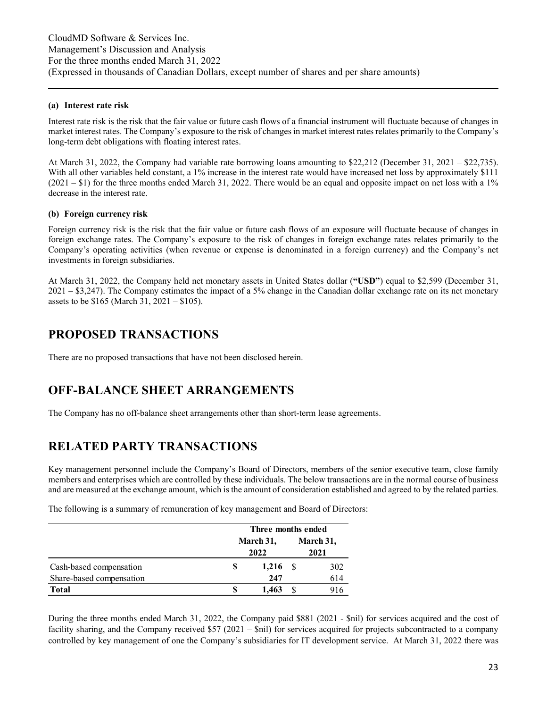#### **(a) Interest rate risk**

Interest rate risk is the risk that the fair value or future cash flows of a financial instrument will fluctuate because of changes in market interest rates. The Company's exposure to the risk of changes in market interest rates relates primarily to the Company's long-term debt obligations with floating interest rates.

At March 31, 2022, the Company had variable rate borrowing loans amounting to \$22,212 (December 31, 2021 – \$22,735). With all other variables held constant, a 1% increase in the interest rate would have increased net loss by approximately \$111  $(2021 - $1)$  for the three months ended March 31, 2022. There would be an equal and opposite impact on net loss with a 1% decrease in the interest rate.

#### **(b) Foreign currency risk**

Foreign currency risk is the risk that the fair value or future cash flows of an exposure will fluctuate because of changes in foreign exchange rates. The Company's exposure to the risk of changes in foreign exchange rates relates primarily to the Company's operating activities (when revenue or expense is denominated in a foreign currency) and the Company's net investments in foreign subsidiaries.

At March 31, 2022, the Company held net monetary assets in United States dollar (**"USD"**) equal to \$2,599 (December 31,  $2021 - $3,247$ ). The Company estimates the impact of a 5% change in the Canadian dollar exchange rate on its net monetary assets to be \$165 (March 31, 2021 – \$105).

## **PROPOSED TRANSACTIONS**

There are no proposed transactions that have not been disclosed herein.

# **OFF-BALANCE SHEET ARRANGEMENTS**

The Company has no off-balance sheet arrangements other than short-term lease agreements.

# **RELATED PARTY TRANSACTIONS**

Key management personnel include the Company's Board of Directors, members of the senior executive team, close family members and enterprises which are controlled by these individuals. The below transactions are in the normal course of business and are measured at the exchange amount, which is the amount of consideration established and agreed to by the related parties.

The following is a summary of remuneration of key management and Board of Directors:

|                          | Three months ended |       |                   |     |  |
|--------------------------|--------------------|-------|-------------------|-----|--|
|                          | March 31,<br>2022  |       | March 31,<br>2021 |     |  |
| Cash-based compensation  | S                  | 1,216 |                   | 302 |  |
| Share-based compensation |                    | 247   |                   | 614 |  |
| <b>Total</b>             |                    | 1.463 |                   | 916 |  |

During the three months ended March 31, 2022, the Company paid \$881 (2021 - \$nil) for services acquired and the cost of facility sharing, and the Company received \$57 (2021 – \$nil) for services acquired for projects subcontracted to a company controlled by key management of one the Company's subsidiaries for IT development service. At March 31, 2022 there was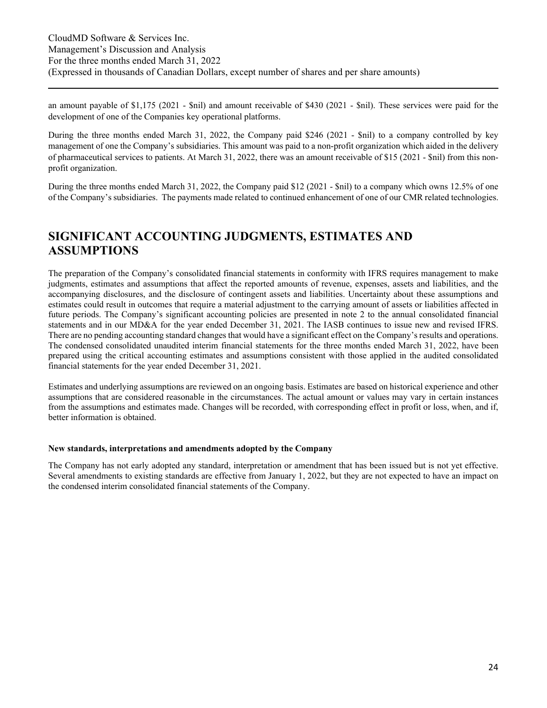an amount payable of \$1,175 (2021 - \$nil) and amount receivable of \$430 (2021 - \$nil). These services were paid for the development of one of the Companies key operational platforms.

During the three months ended March 31, 2022, the Company paid \$246 (2021 - \$nil) to a company controlled by key management of one the Company's subsidiaries. This amount was paid to a non-profit organization which aided in the delivery of pharmaceutical services to patients. At March 31, 2022, there was an amount receivable of \$15 (2021 - \$nil) from this nonprofit organization.

During the three months ended March 31, 2022, the Company paid \$12 (2021 - \$nil) to a company which owns 12.5% of one of the Company's subsidiaries. The payments made related to continued enhancement of one of our CMR related technologies.

### **SIGNIFICANT ACCOUNTING JUDGMENTS, ESTIMATES AND ASSUMPTIONS**

The preparation of the Company's consolidated financial statements in conformity with IFRS requires management to make judgments, estimates and assumptions that affect the reported amounts of revenue, expenses, assets and liabilities, and the accompanying disclosures, and the disclosure of contingent assets and liabilities. Uncertainty about these assumptions and estimates could result in outcomes that require a material adjustment to the carrying amount of assets or liabilities affected in future periods. The Company's significant accounting policies are presented in note 2 to the annual consolidated financial statements and in our MD&A for the year ended December 31, 2021. The IASB continues to issue new and revised IFRS. There are no pending accounting standard changes that would have a significant effect on the Company's results and operations. The condensed consolidated unaudited interim financial statements for the three months ended March 31, 2022, have been prepared using the critical accounting estimates and assumptions consistent with those applied in the audited consolidated financial statements for the year ended December 31, 2021.

Estimates and underlying assumptions are reviewed on an ongoing basis. Estimates are based on historical experience and other assumptions that are considered reasonable in the circumstances. The actual amount or values may vary in certain instances from the assumptions and estimates made. Changes will be recorded, with corresponding effect in profit or loss, when, and if, better information is obtained.

#### **New standards, interpretations and amendments adopted by the Company**

The Company has not early adopted any standard, interpretation or amendment that has been issued but is not yet effective. Several amendments to existing standards are effective from January 1, 2022, but they are not expected to have an impact on the condensed interim consolidated financial statements of the Company.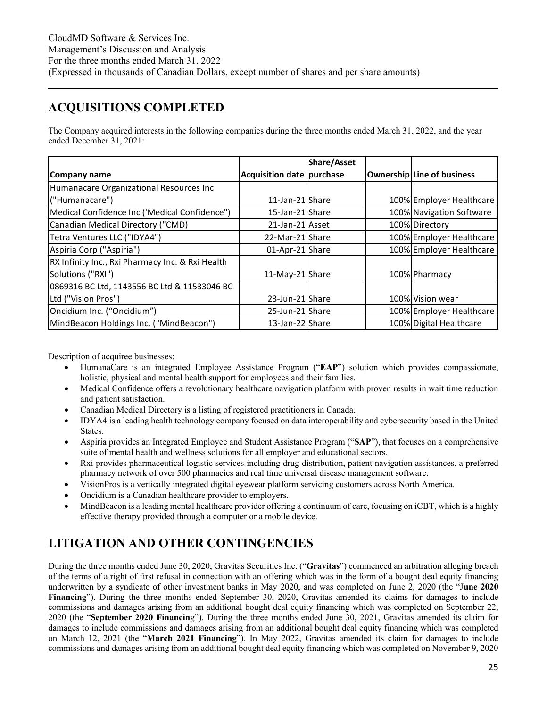# **ACQUISITIONS COMPLETED**

The Company acquired interests in the following companies during the three months ended March 31, 2022, and the year ended December 31, 2021:

|                                                  |                           | <b>Share/Asset</b> |                            |
|--------------------------------------------------|---------------------------|--------------------|----------------------------|
| Company name                                     | Acquisition date purchase |                    | Ownership Line of business |
| Humanacare Organizational Resources Inc          |                           |                    |                            |
| ("Humanacare")                                   | 11-Jan-21 Share           |                    | 100% Employer Healthcare   |
| Medical Confidence Inc ('Medical Confidence")    | 15-Jan-21 Share           |                    | 100% Navigation Software   |
| Canadian Medical Directory ("CMD)                | 21-Jan-21 Asset           |                    | 100% Directory             |
| Tetra Ventures LLC ("IDYA4")                     | 22-Mar-21 Share           |                    | 100% Employer Healthcare   |
| Aspiria Corp ("Aspiria")                         | 01-Apr-21 Share           |                    | 100% Employer Healthcare   |
| RX Infinity Inc., Rxi Pharmacy Inc. & Rxi Health |                           |                    |                            |
| Solutions ("RXI")                                | 11-May-21 Share           |                    | 100% Pharmacy              |
| 0869316 BC Ltd, 1143556 BC Ltd & 11533046 BC     |                           |                    |                            |
| Ltd ("Vision Pros")                              | 23-Jun-21 Share           |                    | 100% Vision wear           |
| Oncidium Inc. ("Oncidium")                       | 25-Jun-21 Share           |                    | 100% Employer Healthcare   |
| MindBeacon Holdings Inc. ("MindBeacon")          | 13-Jan-22 Share           |                    | 100% Digital Healthcare    |

Description of acquiree businesses:

- HumanaCare is an integrated Employee Assistance Program ("**EAP**") solution which provides compassionate, holistic, physical and mental health support for employees and their families.
- Medical Confidence offers a revolutionary healthcare navigation platform with proven results in wait time reduction and patient satisfaction.
- Canadian Medical Directory is a listing of registered practitioners in Canada.
- IDYA4 is a leading health technology company focused on data interoperability and cybersecurity based in the United States.
- Aspiria provides an Integrated Employee and Student Assistance Program ("**SAP**"), that focuses on a comprehensive suite of mental health and wellness solutions for all employer and educational sectors.
- Rxi provides pharmaceutical logistic services including drug distribution, patient navigation assistances, a preferred pharmacy network of over 500 pharmacies and real time universal disease management software.
- VisionPros is a vertically integrated digital eyewear platform servicing customers across North America.
- Oncidium is a Canadian healthcare provider to employers.
- MindBeacon is a leading mental healthcare provider offering a continuum of care, focusing on iCBT, which is a highly effective therapy provided through a computer or a mobile device.

# **LITIGATION AND OTHER CONTINGENCIES**

During the three months ended June 30, 2020, Gravitas Securities Inc. ("**Gravitas**") commenced an arbitration alleging breach of the terms of a right of first refusal in connection with an offering which was in the form of a bought deal equity financing underwritten by a syndicate of other investment banks in May 2020, and was completed on June 2, 2020 (the "J**une 2020 Financing**"). During the three months ended September 30, 2020, Gravitas amended its claims for damages to include commissions and damages arising from an additional bought deal equity financing which was completed on September 22, 2020 (the "**September 2020 Financin**g"). During the three months ended June 30, 2021, Gravitas amended its claim for damages to include commissions and damages arising from an additional bought deal equity financing which was completed on March 12, 2021 (the "**March 2021 Financing**"). In May 2022, Gravitas amended its claim for damages to include commissions and damages arising from an additional bought deal equity financing which was completed on November 9, 2020